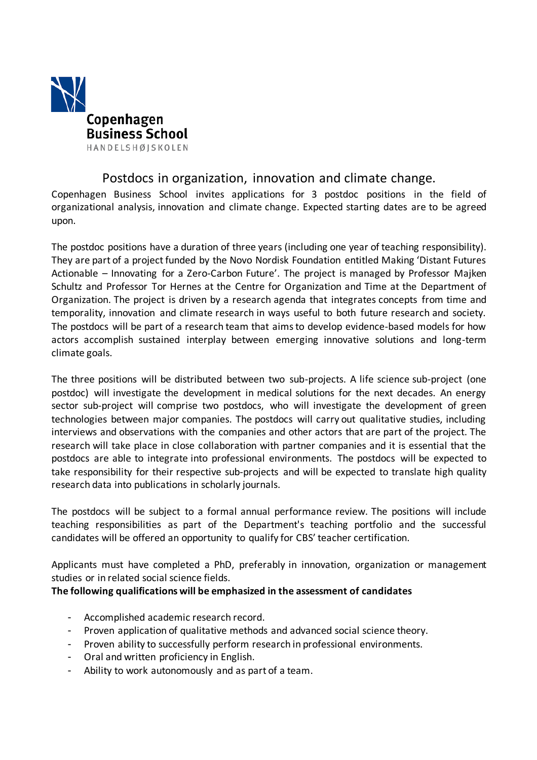

# Postdocs in organization, innovation and climate change.

Copenhagen Business School invites applications for 3 postdoc positions in the field of organizational analysis, innovation and climate change. Expected starting dates are to be agreed upon.

The postdoc positions have a duration of three years (including one year of teaching responsibility). They are part of a project funded by the Novo Nordisk Foundation entitled Making 'Distant Futures Actionable – Innovating for a Zero-Carbon Future'. The project is managed by Professor Majken Schultz and Professor Tor Hernes at the Centre for Organization and Time at the Department of Organization. The project is driven by a research agenda that integrates concepts from time and temporality, innovation and climate research in ways useful to both future research and society. The postdocs will be part of a research team that aimsto develop evidence-based models for how actors accomplish sustained interplay between emerging innovative solutions and long-term climate goals.

The three positions will be distributed between two sub-projects. A life science sub-project (one postdoc) will investigate the development in medical solutions for the next decades. An energy sector sub-project will comprise two postdocs, who will investigate the development of green technologies between major companies. The postdocs will carry out qualitative studies, including interviews and observations with the companies and other actors that are part of the project. The research will take place in close collaboration with partner companies and it is essential that the postdocs are able to integrate into professional environments. The postdocs will be expected to take responsibility for their respective sub-projects and will be expected to translate high quality research data into publications in scholarly journals.

The postdocs will be subject to a formal annual performance review. The positions will include teaching responsibilities as part of the Department's teaching portfolio and the successful candidates will be offered an opportunity to qualify for CBS' teacher certification.

Applicants must have completed a PhD, preferably in innovation, organization or management studies or in related social science fields.

## **The following qualifications will be emphasized in the assessment of candidates**

- Accomplished academic research record.
- Proven application of qualitative methods and advanced social science theory.
- Proven ability to successfully perform research in professional environments.
- Oral and written proficiency in English.
- Ability to work autonomously and as part of a team.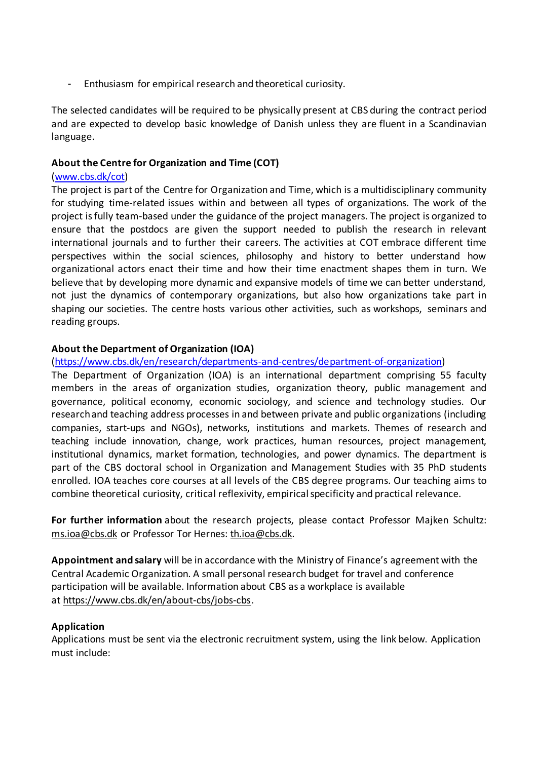- Enthusiasm for empirical research and theoretical curiosity.

The selected candidates will be required to be physically present at CBS during the contract period and are expected to develop basic knowledge of Danish unless they are fluent in a Scandinavian language.

#### **About the Centre for Organization and Time (COT)**

#### (www.cbs.dk/cot)

The project is part of the Centre for Organization and Time, which is a multidisciplinary community for studying time-related issues within and between all types of organizations. The work of the project isfully team-based under the guidance of the project managers. The project is organized to ensure that the postdocs are given the support needed to publish the research in relevant international journals and to further their careers. The activities at COT embrace different time perspectives within the social sciences, philosophy and history to better understand how organizational actors enact their time and how their time enactment shapes them in turn. We believe that by developing more dynamic and expansive models of time we can better understand, not just the dynamics of contemporary organizations, but also how organizations take part in shaping our societies. The centre hosts various other activities, such as workshops, seminars and reading groups.

#### **About the Department of Organization (IOA)**

### (https://www.cbs.dk/en/research/departments-and-centres/department-of-organization)

The Department of Organization (IOA) is an international department comprising 55 faculty members in the areas of organization studies, organization theory, public management and governance, political economy, economic sociology, and science and technology studies. Our researchand teaching address processes in and between private and public organizations (including companies, start-ups and NGOs), networks, institutions and markets. Themes of research and teaching include innovation, change, work practices, human resources, project management, institutional dynamics, market formation, technologies, and power dynamics. The department is part of the CBS doctoral school in Organization and Management Studies with 35 PhD students enrolled. IOA teaches core courses at all levels of the CBS degree programs. Our teaching aims to combine theoretical curiosity, critical reflexivity, empiricalspecificity and practical relevance.

**For further information** about the research projects, please contact Professor Majken Schultz: ms.ioa@cbs.dk or Professor Tor Hernes: th.ioa@cbs.dk.

**Appointment and salary** will be in accordance with the Ministry of Finance's agreement with the Central Academic Organization. A small personal research budget for travel and conference participation will be available. Information about CBS as a workplace is available at https://www.cbs.dk/en/about-cbs/jobs-cbs.

#### **Application**

Applications must be sent via the electronic recruitment system, using the link below. Application must include: